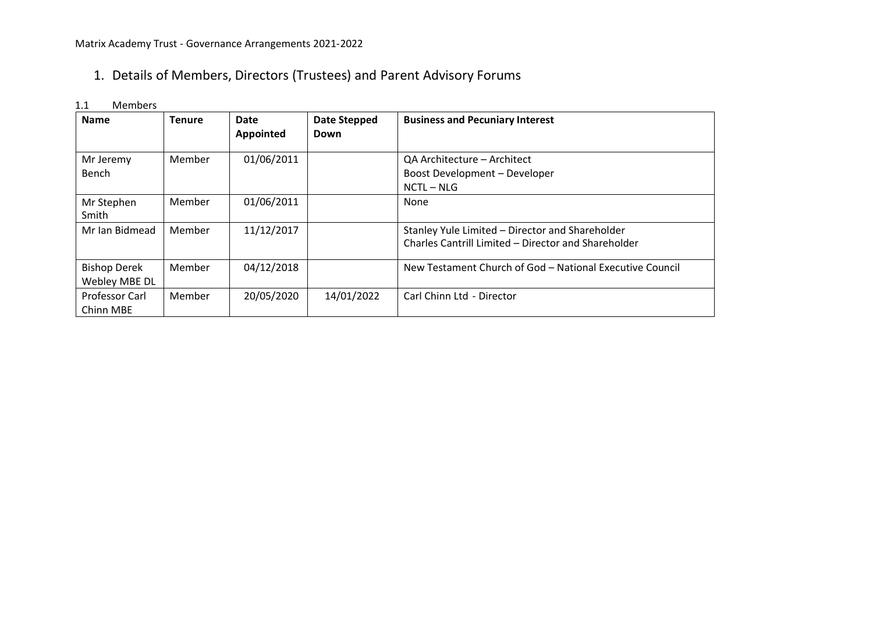# 1. Details of Members, Directors (Trustees) and Parent Advisory Forums

| <b>Name</b>                          | <b>Tenure</b> | <b>Date</b><br><b>Appointed</b> | Date Stepped<br>Down | <b>Business and Pecuniary Interest</b>                                                                 |
|--------------------------------------|---------------|---------------------------------|----------------------|--------------------------------------------------------------------------------------------------------|
| Mr Jeremy<br>Bench                   | Member        | 01/06/2011                      |                      | QA Architecture - Architect<br>Boost Development - Developer<br>$NCTL - NLG$                           |
| Mr Stephen<br>Smith                  | Member        | 01/06/2011                      |                      | None                                                                                                   |
| Mr Ian Bidmead                       | Member        | 11/12/2017                      |                      | Stanley Yule Limited - Director and Shareholder<br>Charles Cantrill Limited - Director and Shareholder |
| <b>Bishop Derek</b><br>Webley MBE DL | Member        | 04/12/2018                      |                      | New Testament Church of God - National Executive Council                                               |
| Professor Carl<br>Chinn MBE          | Member        | 20/05/2020                      | 14/01/2022           | Carl Chinn Ltd - Director                                                                              |

#### 1.1 Members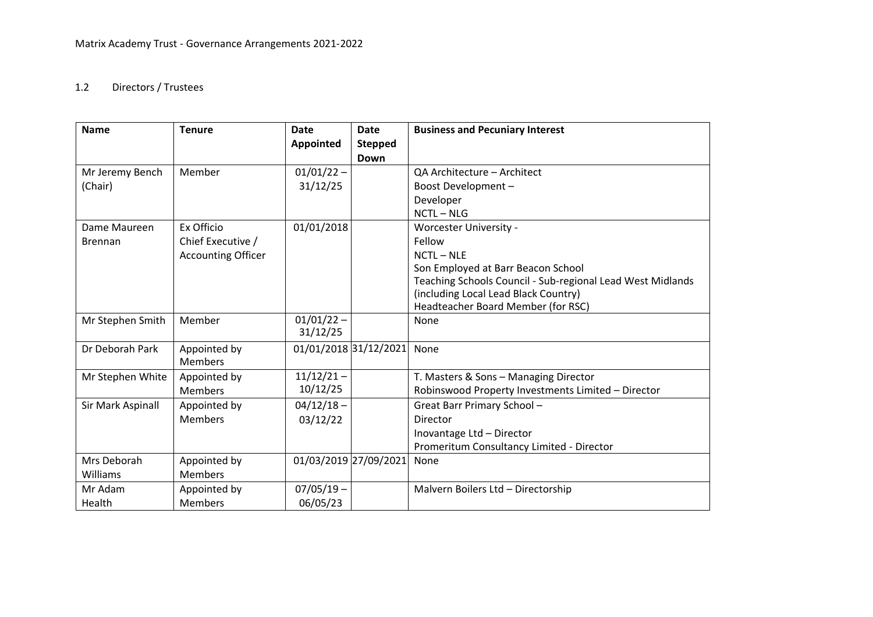## 1.2 Directors / Trustees

| <b>Name</b>       | <b>Tenure</b>             | <b>Date</b>           | <b>Date</b>    | <b>Business and Pecuniary Interest</b>                     |
|-------------------|---------------------------|-----------------------|----------------|------------------------------------------------------------|
|                   |                           | <b>Appointed</b>      | <b>Stepped</b> |                                                            |
|                   |                           |                       | Down           |                                                            |
| Mr Jeremy Bench   | Member                    | $01/01/22 -$          |                | QA Architecture - Architect                                |
| (Chair)           |                           | 31/12/25              |                | Boost Development -                                        |
|                   |                           |                       |                | Developer                                                  |
|                   |                           |                       |                | $NCTL - NLG$                                               |
| Dame Maureen      | Ex Officio                | 01/01/2018            |                | Worcester University -                                     |
| <b>Brennan</b>    | Chief Executive /         |                       |                | Fellow                                                     |
|                   | <b>Accounting Officer</b> |                       |                | $NCTL - NLE$                                               |
|                   |                           |                       |                | Son Employed at Barr Beacon School                         |
|                   |                           |                       |                | Teaching Schools Council - Sub-regional Lead West Midlands |
|                   |                           |                       |                | (including Local Lead Black Country)                       |
|                   |                           |                       |                | Headteacher Board Member (for RSC)                         |
| Mr Stephen Smith  | Member                    | $01/01/22 -$          |                | None                                                       |
|                   |                           | 31/12/25              |                |                                                            |
| Dr Deborah Park   | Appointed by              | 01/01/2018 31/12/2021 |                | None                                                       |
|                   | <b>Members</b>            |                       |                |                                                            |
| Mr Stephen White  | Appointed by              | $11/12/21 -$          |                | T. Masters & Sons - Managing Director                      |
|                   | <b>Members</b>            | 10/12/25              |                | Robinswood Property Investments Limited - Director         |
| Sir Mark Aspinall | Appointed by              | $04/12/18 -$          |                | Great Barr Primary School-                                 |
|                   | <b>Members</b>            | 03/12/22              |                | Director                                                   |
|                   |                           |                       |                | Inovantage Ltd - Director                                  |
|                   |                           |                       |                | Promeritum Consultancy Limited - Director                  |
| Mrs Deborah       | Appointed by              | 01/03/2019 27/09/2021 |                | None                                                       |
| Williams          | <b>Members</b>            |                       |                |                                                            |
| Mr Adam           | Appointed by              | $07/05/19 -$          |                | Malvern Boilers Ltd - Directorship                         |
| Health            | <b>Members</b>            | 06/05/23              |                |                                                            |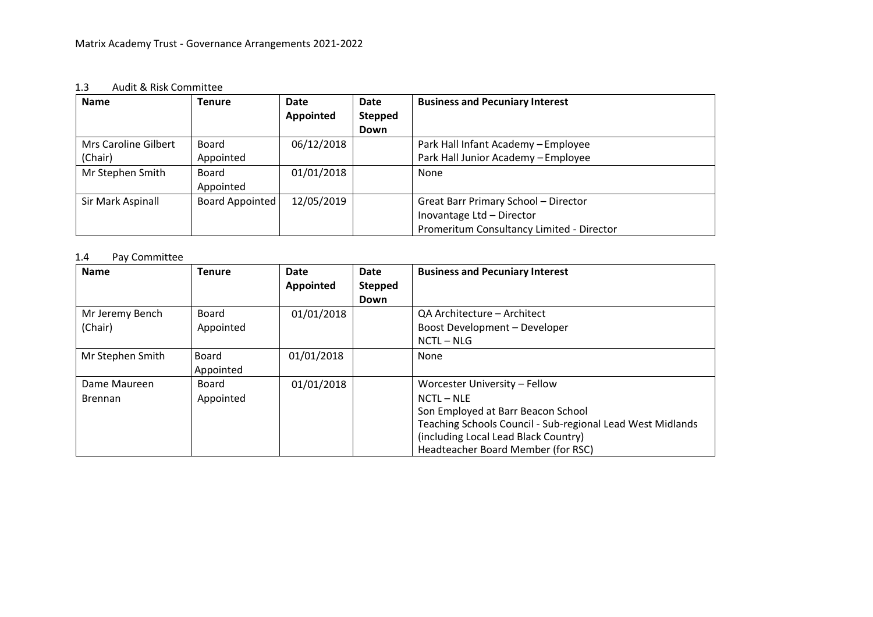#### 1.3 Audit & Risk Committee

| <b>Name</b>          | <b>Tenure</b>          | Date       | Date           | <b>Business and Pecuniary Interest</b>      |
|----------------------|------------------------|------------|----------------|---------------------------------------------|
|                      |                        | Appointed  | <b>Stepped</b> |                                             |
|                      |                        |            | Down           |                                             |
| Mrs Caroline Gilbert | Board                  | 06/12/2018 |                | Park Hall Infant Academy - Employee         |
| (Chair)              | Appointed              |            |                | Park Hall Junior Academy - Employee         |
| Mr Stephen Smith     | Board                  | 01/01/2018 |                | None                                        |
|                      | Appointed              |            |                |                                             |
| Sir Mark Aspinall    | <b>Board Appointed</b> | 12/05/2019 |                | <b>Great Barr Primary School - Director</b> |
|                      |                        |            |                | Inovantage Ltd - Director                   |
|                      |                        |            |                | Promeritum Consultancy Limited - Director   |

## 1.4 Pay Committee

| <b>Name</b>      | <b>Tenure</b> | Date       | Date           | <b>Business and Pecuniary Interest</b>                     |
|------------------|---------------|------------|----------------|------------------------------------------------------------|
|                  |               | Appointed  | <b>Stepped</b> |                                                            |
|                  |               |            | Down           |                                                            |
| Mr Jeremy Bench  | Board         | 01/01/2018 |                | QA Architecture – Architect                                |
| (Chair)          | Appointed     |            |                | Boost Development - Developer                              |
|                  |               |            |                | $NCTL - NLG$                                               |
| Mr Stephen Smith | Board         | 01/01/2018 |                | None                                                       |
|                  | Appointed     |            |                |                                                            |
| Dame Maureen     | Board         | 01/01/2018 |                | Worcester University - Fellow                              |
| <b>Brennan</b>   | Appointed     |            |                | $NCTL - NLE$                                               |
|                  |               |            |                | Son Employed at Barr Beacon School                         |
|                  |               |            |                | Teaching Schools Council - Sub-regional Lead West Midlands |
|                  |               |            |                | (including Local Lead Black Country)                       |
|                  |               |            |                | Headteacher Board Member (for RSC)                         |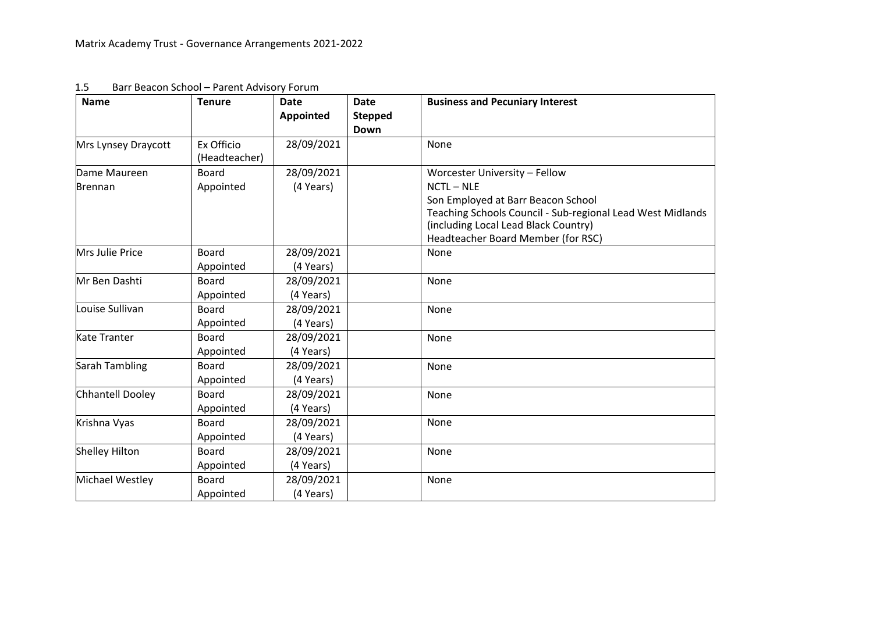| <b>Name</b>           | <b>Tenure</b>               | <b>Date</b><br><b>Appointed</b> | <b>Date</b><br><b>Stepped</b><br>Down | <b>Business and Pecuniary Interest</b>                                                                                                                                                         |
|-----------------------|-----------------------------|---------------------------------|---------------------------------------|------------------------------------------------------------------------------------------------------------------------------------------------------------------------------------------------|
| Mrs Lynsey Draycott   | Ex Officio<br>(Headteacher) | 28/09/2021                      |                                       | None                                                                                                                                                                                           |
| Dame Maureen          | Board                       | 28/09/2021                      |                                       | Worcester University - Fellow                                                                                                                                                                  |
| <b>Brennan</b>        | Appointed                   | (4 Years)                       |                                       | $NCTL - NLE$<br>Son Employed at Barr Beacon School<br>Teaching Schools Council - Sub-regional Lead West Midlands<br>(including Local Lead Black Country)<br>Headteacher Board Member (for RSC) |
| Mrs Julie Price       | <b>Board</b>                | 28/09/2021                      |                                       | None                                                                                                                                                                                           |
|                       | Appointed                   | (4 Years)                       |                                       |                                                                                                                                                                                                |
| Mr Ben Dashti         | <b>Board</b>                | 28/09/2021                      |                                       | None                                                                                                                                                                                           |
|                       | Appointed                   | (4 Years)                       |                                       |                                                                                                                                                                                                |
| Louise Sullivan       | <b>Board</b>                | 28/09/2021                      |                                       | None                                                                                                                                                                                           |
|                       | Appointed                   | (4 Years)                       |                                       |                                                                                                                                                                                                |
| Kate Tranter          | <b>Board</b>                | 28/09/2021                      |                                       | None                                                                                                                                                                                           |
|                       | Appointed                   | (4 Years)                       |                                       |                                                                                                                                                                                                |
| Sarah Tambling        | <b>Board</b>                | 28/09/2021                      |                                       | None                                                                                                                                                                                           |
|                       | Appointed                   | (4 Years)                       |                                       |                                                                                                                                                                                                |
| Chhantell Dooley      | <b>Board</b>                | 28/09/2021                      |                                       | None                                                                                                                                                                                           |
|                       | Appointed                   | (4 Years)                       |                                       |                                                                                                                                                                                                |
| Krishna Vyas          | <b>Board</b>                | 28/09/2021                      |                                       | None                                                                                                                                                                                           |
|                       | Appointed                   | (4 Years)                       |                                       |                                                                                                                                                                                                |
| <b>Shelley Hilton</b> | <b>Board</b>                | 28/09/2021                      |                                       | None                                                                                                                                                                                           |
|                       | Appointed                   | (4 Years)                       |                                       |                                                                                                                                                                                                |
| Michael Westley       | <b>Board</b>                | 28/09/2021                      |                                       | None                                                                                                                                                                                           |
|                       | Appointed                   | (4 Years)                       |                                       |                                                                                                                                                                                                |

| 1.5 | Barr Beacon School - Parent Advisory Forum |
|-----|--------------------------------------------|
|-----|--------------------------------------------|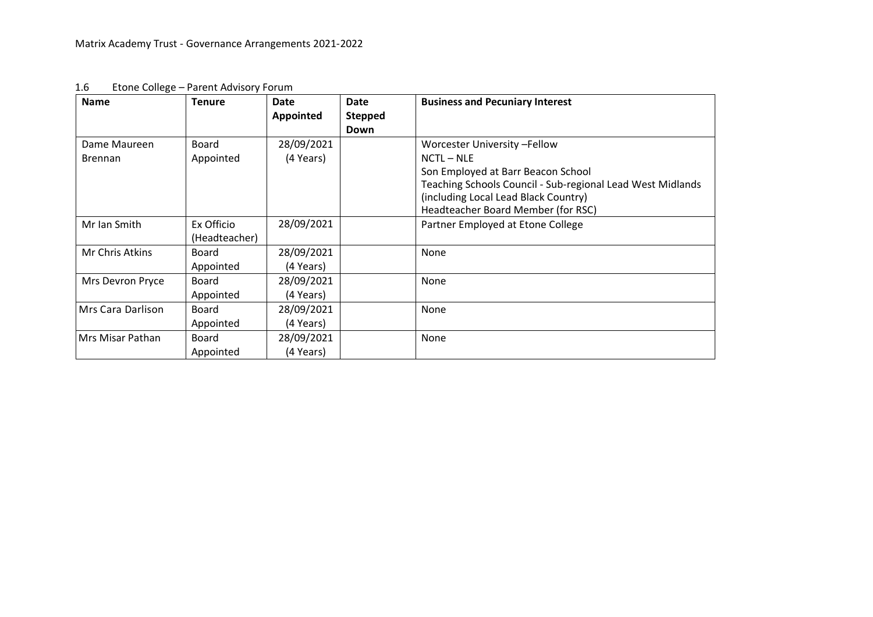| <b>Name</b>       | <b>Tenure</b>               | Date<br>Appointed | <b>Date</b><br><b>Stepped</b><br>Down | <b>Business and Pecuniary Interest</b>                                                                                                                                         |
|-------------------|-----------------------------|-------------------|---------------------------------------|--------------------------------------------------------------------------------------------------------------------------------------------------------------------------------|
| Dame Maureen      | <b>Board</b>                | 28/09/2021        |                                       | Worcester University -Fellow                                                                                                                                                   |
| <b>Brennan</b>    | Appointed                   | (4 Years)         |                                       | $NCTL - NLE$                                                                                                                                                                   |
|                   |                             |                   |                                       | Son Employed at Barr Beacon School<br>Teaching Schools Council - Sub-regional Lead West Midlands<br>(including Local Lead Black Country)<br>Headteacher Board Member (for RSC) |
| Mr Ian Smith      | Ex Officio<br>(Headteacher) | 28/09/2021        |                                       | Partner Employed at Etone College                                                                                                                                              |
| Mr Chris Atkins   | Board                       | 28/09/2021        |                                       | None                                                                                                                                                                           |
|                   | Appointed                   | (4 Years)         |                                       |                                                                                                                                                                                |
| Mrs Devron Pryce  | <b>Board</b>                | 28/09/2021        |                                       | None                                                                                                                                                                           |
|                   | Appointed                   | (4 Years)         |                                       |                                                                                                                                                                                |
| Mrs Cara Darlison | <b>Board</b>                | 28/09/2021        |                                       | None                                                                                                                                                                           |
|                   | Appointed                   | (4 Years)         |                                       |                                                                                                                                                                                |
| Mrs Misar Pathan  | <b>Board</b>                | 28/09/2021        |                                       | None                                                                                                                                                                           |
|                   | Appointed                   | (4 Years)         |                                       |                                                                                                                                                                                |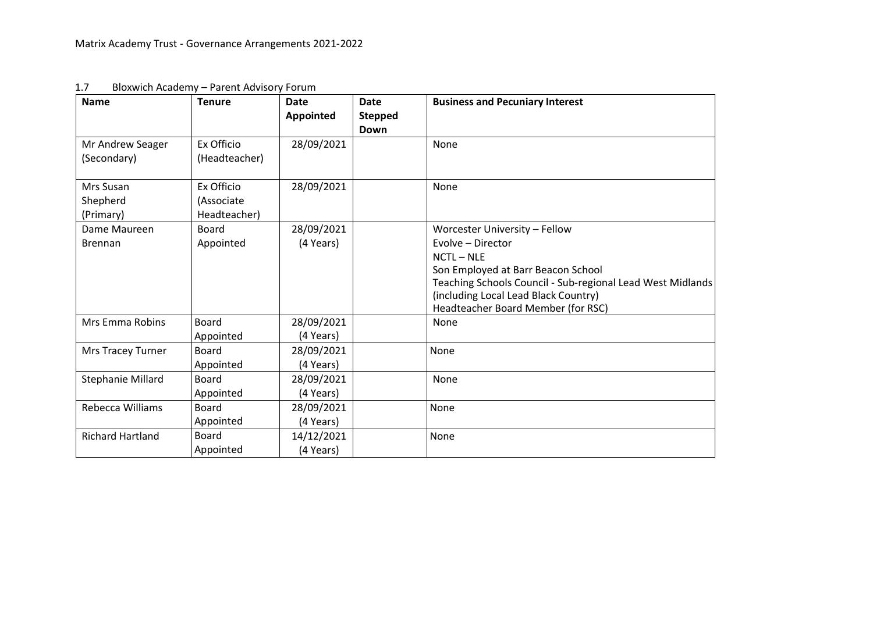| <b>Name</b>                     | <b>Tenure</b>               | <b>Date</b><br><b>Appointed</b> | <b>Date</b><br><b>Stepped</b><br>Down | <b>Business and Pecuniary Interest</b>                                                           |
|---------------------------------|-----------------------------|---------------------------------|---------------------------------------|--------------------------------------------------------------------------------------------------|
| Mr Andrew Seager<br>(Secondary) | Ex Officio<br>(Headteacher) | 28/09/2021                      |                                       | None                                                                                             |
|                                 |                             |                                 |                                       |                                                                                                  |
| Mrs Susan                       | Ex Officio                  | 28/09/2021                      |                                       | None                                                                                             |
| Shepherd                        | (Associate                  |                                 |                                       |                                                                                                  |
| (Primary)                       | Headteacher)                |                                 |                                       |                                                                                                  |
| Dame Maureen                    | <b>Board</b>                | 28/09/2021                      |                                       | Worcester University - Fellow                                                                    |
| <b>Brennan</b>                  | Appointed                   | (4 Years)                       |                                       | Evolve - Director                                                                                |
|                                 |                             |                                 |                                       | $NCTL - NLE$                                                                                     |
|                                 |                             |                                 |                                       | Son Employed at Barr Beacon School<br>Teaching Schools Council - Sub-regional Lead West Midlands |
|                                 |                             |                                 |                                       | (including Local Lead Black Country)<br>Headteacher Board Member (for RSC)                       |
| Mrs Emma Robins                 | <b>Board</b>                | 28/09/2021                      |                                       | None                                                                                             |
|                                 | Appointed                   | (4 Years)                       |                                       |                                                                                                  |
| Mrs Tracey Turner               | <b>Board</b>                | 28/09/2021                      |                                       | None                                                                                             |
|                                 | Appointed                   | (4 Years)                       |                                       |                                                                                                  |
| Stephanie Millard               | <b>Board</b>                | 28/09/2021                      |                                       | None                                                                                             |
|                                 | Appointed                   | (4 Years)                       |                                       |                                                                                                  |
| Rebecca Williams                | <b>Board</b>                | 28/09/2021                      |                                       | None                                                                                             |
|                                 | Appointed                   | (4 Years)                       |                                       |                                                                                                  |
| <b>Richard Hartland</b>         | <b>Board</b>                | 14/12/2021                      |                                       | None                                                                                             |
|                                 | Appointed                   | (4 Years)                       |                                       |                                                                                                  |

1.7 Bloxwich Academy – Parent Advisory Forum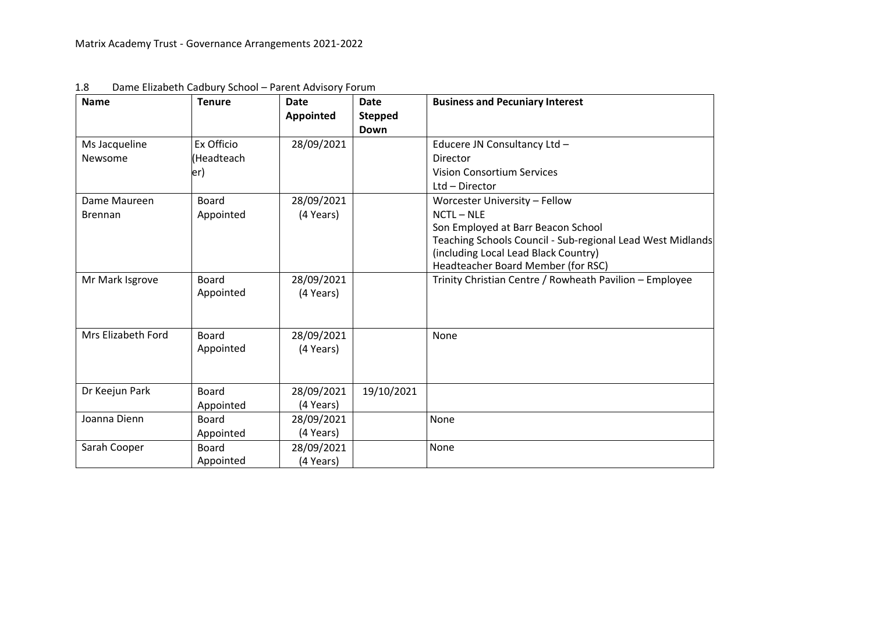| <b>Name</b>        | <b>Tenure</b>             | <b>Date</b><br><b>Appointed</b> | <b>Date</b><br><b>Stepped</b><br><b>Down</b> | <b>Business and Pecuniary Interest</b>                                                                                                                                         |
|--------------------|---------------------------|---------------------------------|----------------------------------------------|--------------------------------------------------------------------------------------------------------------------------------------------------------------------------------|
| Ms Jacqueline      | Ex Officio                | 28/09/2021                      |                                              | Educere JN Consultancy Ltd -                                                                                                                                                   |
| Newsome            | (Headteach                |                                 |                                              | Director                                                                                                                                                                       |
|                    | er)                       |                                 |                                              | <b>Vision Consortium Services</b>                                                                                                                                              |
|                    |                           |                                 |                                              | Ltd - Director                                                                                                                                                                 |
| Dame Maureen       | <b>Board</b>              | 28/09/2021                      |                                              | Worcester University - Fellow                                                                                                                                                  |
| <b>Brennan</b>     | Appointed                 | (4 Years)                       |                                              | $NCTL - NLE$                                                                                                                                                                   |
|                    |                           |                                 |                                              | Son Employed at Barr Beacon School<br>Teaching Schools Council - Sub-regional Lead West Midlands<br>(including Local Lead Black Country)<br>Headteacher Board Member (for RSC) |
| Mr Mark Isgrove    | <b>Board</b><br>Appointed | 28/09/2021<br>(4 Years)         |                                              | Trinity Christian Centre / Rowheath Pavilion - Employee                                                                                                                        |
| Mrs Elizabeth Ford | <b>Board</b><br>Appointed | 28/09/2021<br>(4 Years)         |                                              | None                                                                                                                                                                           |
| Dr Keejun Park     | <b>Board</b><br>Appointed | 28/09/2021<br>(4 Years)         | 19/10/2021                                   |                                                                                                                                                                                |
| Joanna Dienn       | <b>Board</b>              | 28/09/2021                      |                                              | None                                                                                                                                                                           |
|                    | Appointed                 | (4 Years)                       |                                              |                                                                                                                                                                                |
| Sarah Cooper       | <b>Board</b><br>Appointed | 28/09/2021<br>(4 Years)         |                                              | None                                                                                                                                                                           |

| 1.8 | Dame Elizabeth Cadbury School - Parent Advisory Forum |
|-----|-------------------------------------------------------|
|-----|-------------------------------------------------------|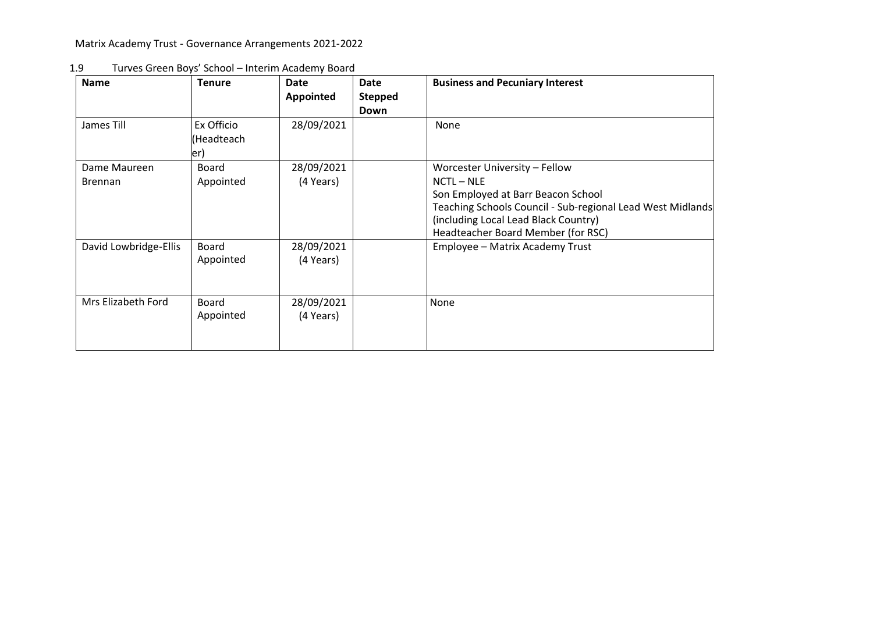Matrix Academy Trust - Governance Arrangements 2021-2022

| <b>Name</b>                    | <b>Tenure</b>                    | Date<br><b>Appointed</b> | Date<br><b>Stepped</b><br>Down | <b>Business and Pecuniary Interest</b>                                                                                                                                                                                        |
|--------------------------------|----------------------------------|--------------------------|--------------------------------|-------------------------------------------------------------------------------------------------------------------------------------------------------------------------------------------------------------------------------|
| James Till                     | Ex Officio<br>(Headteach<br>ler) | 28/09/2021               |                                | None                                                                                                                                                                                                                          |
| Dame Maureen<br><b>Brennan</b> | Board<br>Appointed               | 28/09/2021<br>(4 Years)  |                                | Worcester University - Fellow<br>NCTL - NLE<br>Son Employed at Barr Beacon School<br>Teaching Schools Council - Sub-regional Lead West Midlands<br>(including Local Lead Black Country)<br>Headteacher Board Member (for RSC) |
| David Lowbridge-Ellis          | Board<br>Appointed               | 28/09/2021<br>(4 Years)  |                                | Employee - Matrix Academy Trust                                                                                                                                                                                               |
| Mrs Elizabeth Ford             | Board<br>Appointed               | 28/09/2021<br>(4 Years)  |                                | None                                                                                                                                                                                                                          |

1.9 Turves Green Boys' School – Interim Academy Board